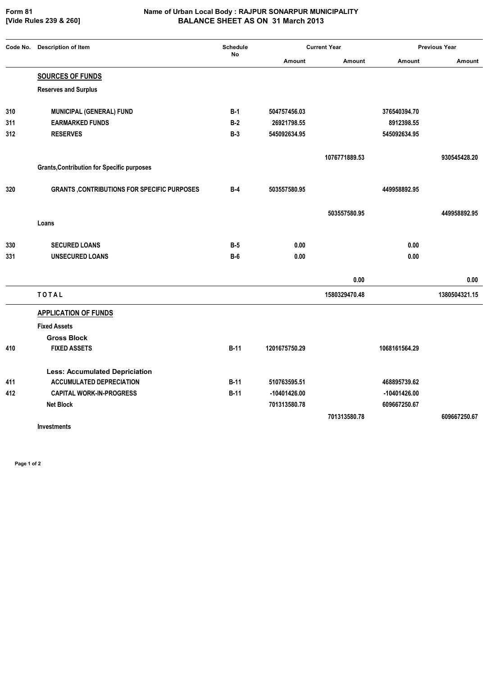**[Vide Rules 239 & 260]**

## **Form 81 Name of Urban Local Body : RAJPUR SONARPUR MUNICIPALITY BALANCE SHEET AS ON 31 March 2013**

| Code No. | <b>Description of Item</b>                         | <b>Schedule</b><br><b>No</b> | <b>Current Year</b> |               | <b>Previous Year</b> |               |
|----------|----------------------------------------------------|------------------------------|---------------------|---------------|----------------------|---------------|
|          |                                                    |                              | Amount              | Amount        | Amount               | Amount        |
|          | <b>SOURCES OF FUNDS</b>                            |                              |                     |               |                      |               |
|          | <b>Reserves and Surplus</b>                        |                              |                     |               |                      |               |
| 310      | <b>MUNICIPAL (GENERAL) FUND</b>                    | $B-1$                        | 504757456.03        |               | 376540394.70         |               |
| 311      | <b>EARMARKED FUNDS</b>                             | $B-2$                        | 26921798.55         |               | 8912398.55           |               |
| 312      | <b>RESERVES</b>                                    | $B-3$                        | 545092634.95        |               | 545092634.95         |               |
|          |                                                    |                              |                     | 1076771889.53 |                      | 930545428.20  |
|          | <b>Grants, Contribution for Specific purposes</b>  |                              |                     |               |                      |               |
| 320      | <b>GRANTS, CONTRIBUTIONS FOR SPECIFIC PURPOSES</b> | $B-4$                        | 503557580.95        |               | 449958892.95         |               |
|          |                                                    |                              |                     | 503557580.95  |                      | 449958892.95  |
|          | Loans                                              |                              |                     |               |                      |               |
| 330      | <b>SECURED LOANS</b>                               | $B-5$                        | 0.00                |               | 0.00                 |               |
| 331      | <b>UNSECURED LOANS</b>                             | $B-6$                        | 0.00                |               | 0.00                 |               |
|          |                                                    |                              |                     | 0.00          |                      | 0.00          |
|          | <b>TOTAL</b>                                       |                              |                     | 1580329470.48 |                      | 1380504321.15 |
|          | <b>APPLICATION OF FUNDS</b>                        |                              |                     |               |                      |               |
|          | <b>Fixed Assets</b>                                |                              |                     |               |                      |               |
|          | <b>Gross Block</b>                                 |                              |                     |               |                      |               |
| 410      | <b>FIXED ASSETS</b>                                | $B-11$                       | 1201675750.29       |               | 1068161564.29        |               |
|          | <b>Less: Accumulated Depriciation</b>              |                              |                     |               |                      |               |
| 411      | <b>ACCUMULATED DEPRECIATION</b>                    | $B-11$                       | 510763595.51        |               | 468895739.62         |               |
| 412      | <b>CAPITAL WORK-IN-PROGRESS</b>                    | $B-11$                       | $-10401426.00$      |               | -10401426.00         |               |
|          | <b>Net Block</b>                                   |                              | 701313580.78        |               | 609667250.67         |               |
|          | <b>Investments</b>                                 |                              |                     | 701313580.78  |                      | 609667250.67  |

**Page 1 of 2**